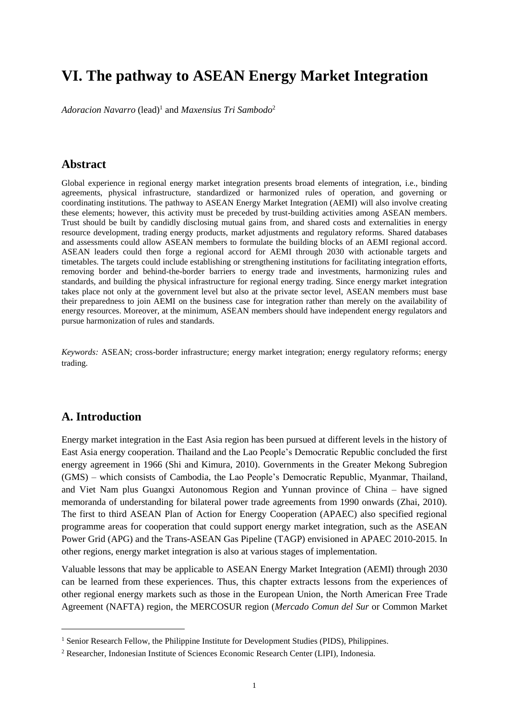# **VI. The pathway to ASEAN Energy Market Integration**

Adoracion Navarro (lead)<sup>1</sup> and *Maxensius Tri Sambodo<sup>2</sup>* 

### **Abstract**

Global experience in regional energy market integration presents broad elements of integration, i.e., binding agreements, physical infrastructure, standardized or harmonized rules of operation, and governing or coordinating institutions. The pathway to ASEAN Energy Market Integration (AEMI) will also involve creating these elements; however, this activity must be preceded by trust-building activities among ASEAN members. Trust should be built by candidly disclosing mutual gains from, and shared costs and externalities in energy resource development, trading energy products, market adjustments and regulatory reforms. Shared databases and assessments could allow ASEAN members to formulate the building blocks of an AEMI regional accord. ASEAN leaders could then forge a regional accord for AEMI through 2030 with actionable targets and timetables. The targets could include establishing or strengthening institutions for facilitating integration efforts, removing border and behind-the-border barriers to energy trade and investments, harmonizing rules and standards, and building the physical infrastructure for regional energy trading. Since energy market integration takes place not only at the government level but also at the private sector level, ASEAN members must base their preparedness to join AEMI on the business case for integration rather than merely on the availability of energy resources. Moreover, at the minimum, ASEAN members should have independent energy regulators and pursue harmonization of rules and standards.

*Keywords:* ASEAN; cross-border infrastructure; energy market integration; energy regulatory reforms; energy trading.

### **A. Introduction**

**.** 

Energy market integration in the East Asia region has been pursued at different levels in the history of East Asia energy cooperation. Thailand and the Lao People's Democratic Republic concluded the first energy agreement in 1966 (Shi and Kimura, 2010). Governments in the Greater Mekong Subregion (GMS) – which consists of Cambodia, the Lao People's Democratic Republic, Myanmar, Thailand, and Viet Nam plus Guangxi Autonomous Region and Yunnan province of China – have signed memoranda of understanding for bilateral power trade agreements from 1990 onwards (Zhai, 2010). The first to third ASEAN Plan of Action for Energy Cooperation (APAEC) also specified regional programme areas for cooperation that could support energy market integration, such as the ASEAN Power Grid (APG) and the Trans-ASEAN Gas Pipeline (TAGP) envisioned in APAEC 2010-2015. In other regions, energy market integration is also at various stages of implementation.

Valuable lessons that may be applicable to ASEAN Energy Market Integration (AEMI) through 2030 can be learned from these experiences. Thus, this chapter extracts lessons from the experiences of other regional energy markets such as those in the European Union, the North American Free Trade Agreement (NAFTA) region, the MERCOSUR region (*Mercado Comun del Sur* or Common Market

<sup>&</sup>lt;sup>1</sup> Senior Research Fellow, the Philippine Institute for Development Studies (PIDS), Philippines.

<sup>2</sup> Researcher, Indonesian Institute of Sciences Economic Research Center (LIPI), Indonesia.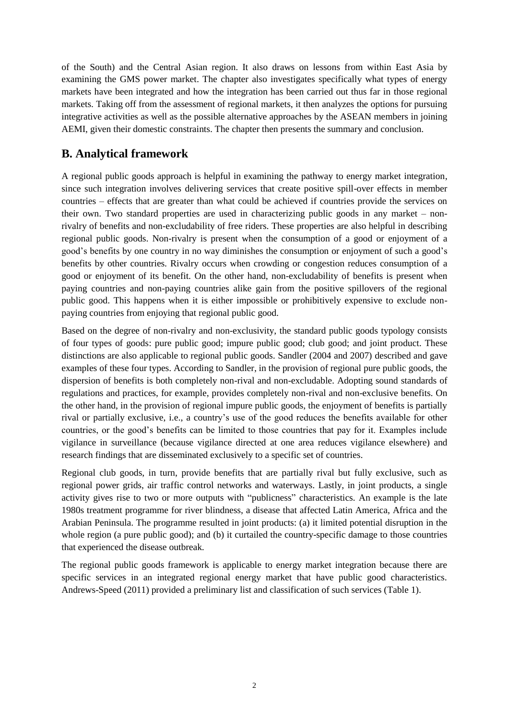of the South) and the Central Asian region. It also draws on lessons from within East Asia by examining the GMS power market. The chapter also investigates specifically what types of energy markets have been integrated and how the integration has been carried out thus far in those regional markets. Taking off from the assessment of regional markets, it then analyzes the options for pursuing integrative activities as well as the possible alternative approaches by the ASEAN members in joining AEMI, given their domestic constraints. The chapter then presents the summary and conclusion.

# **B. Analytical framework**

A regional public goods approach is helpful in examining the pathway to energy market integration, since such integration involves delivering services that create positive spill-over effects in member countries – effects that are greater than what could be achieved if countries provide the services on their own. Two standard properties are used in characterizing public goods in any market – nonrivalry of benefits and non-excludability of free riders. These properties are also helpful in describing regional public goods. Non-rivalry is present when the consumption of a good or enjoyment of a good's benefits by one country in no way diminishes the consumption or enjoyment of such a good's benefits by other countries. Rivalry occurs when crowding or congestion reduces consumption of a good or enjoyment of its benefit. On the other hand, non-excludability of benefits is present when paying countries and non-paying countries alike gain from the positive spillovers of the regional public good. This happens when it is either impossible or prohibitively expensive to exclude nonpaying countries from enjoying that regional public good.

Based on the degree of non-rivalry and non-exclusivity, the standard public goods typology consists of four types of goods: pure public good; impure public good; club good; and joint product. These distinctions are also applicable to regional public goods. Sandler (2004 and 2007) described and gave examples of these four types. According to Sandler, in the provision of regional pure public goods, the dispersion of benefits is both completely non-rival and non-excludable. Adopting sound standards of regulations and practices, for example, provides completely non-rival and non-exclusive benefits. On the other hand, in the provision of regional impure public goods, the enjoyment of benefits is partially rival or partially exclusive, i.e., a country's use of the good reduces the benefits available for other countries, or the good's benefits can be limited to those countries that pay for it. Examples include vigilance in surveillance (because vigilance directed at one area reduces vigilance elsewhere) and research findings that are disseminated exclusively to a specific set of countries.

Regional club goods, in turn, provide benefits that are partially rival but fully exclusive, such as regional power grids, air traffic control networks and waterways. Lastly, in joint products, a single activity gives rise to two or more outputs with "publicness" characteristics. An example is the late 1980s treatment programme for river blindness, a disease that affected Latin America, Africa and the Arabian Peninsula. The programme resulted in joint products: (a) it limited potential disruption in the whole region (a pure public good); and (b) it curtailed the country-specific damage to those countries that experienced the disease outbreak.

The regional public goods framework is applicable to energy market integration because there are specific services in an integrated regional energy market that have public good characteristics. Andrews-Speed (2011) provided a preliminary list and classification of such services (Table 1).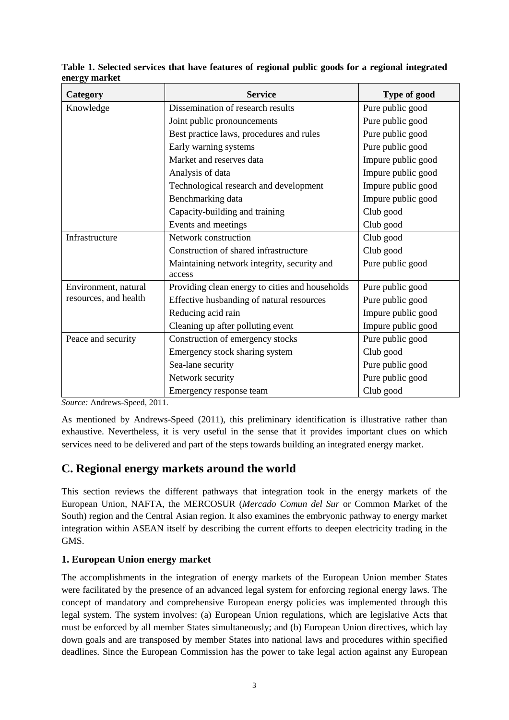| Category              | <b>Service</b>                                  | Type of good       |  |
|-----------------------|-------------------------------------------------|--------------------|--|
| Knowledge             | Dissemination of research results               | Pure public good   |  |
|                       | Joint public pronouncements                     | Pure public good   |  |
|                       | Best practice laws, procedures and rules        | Pure public good   |  |
|                       | Early warning systems                           | Pure public good   |  |
|                       | Market and reserves data                        | Impure public good |  |
|                       | Analysis of data                                | Impure public good |  |
|                       | Technological research and development          | Impure public good |  |
|                       | Benchmarking data                               | Impure public good |  |
|                       | Capacity-building and training                  | Club good          |  |
|                       | Events and meetings                             | Club good          |  |
| Infrastructure        | Network construction                            | Club good          |  |
|                       | Construction of shared infrastructure           | Club good          |  |
|                       | Maintaining network integrity, security and     | Pure public good   |  |
|                       | access                                          |                    |  |
| Environment, natural  | Providing clean energy to cities and households | Pure public good   |  |
| resources, and health | Effective husbanding of natural resources       | Pure public good   |  |
|                       | Reducing acid rain                              | Impure public good |  |
|                       | Cleaning up after polluting event               | Impure public good |  |
| Peace and security    | Construction of emergency stocks                | Pure public good   |  |
|                       | Emergency stock sharing system                  | Club good          |  |
|                       | Sea-lane security                               | Pure public good   |  |
|                       | Network security                                | Pure public good   |  |
|                       | Emergency response team                         | Club good          |  |

**Table 1. Selected services that have features of regional public goods for a regional integrated energy market**

*Source:* Andrews-Speed, 2011.

As mentioned by Andrews-Speed (2011), this preliminary identification is illustrative rather than exhaustive. Nevertheless, it is very useful in the sense that it provides important clues on which services need to be delivered and part of the steps towards building an integrated energy market.

# **C. Regional energy markets around the world**

This section reviews the different pathways that integration took in the energy markets of the European Union, NAFTA, the MERCOSUR (*Mercado Comun del Sur* or Common Market of the South) region and the Central Asian region. It also examines the embryonic pathway to energy market integration within ASEAN itself by describing the current efforts to deepen electricity trading in the GMS.

#### **1. European Union energy market**

The accomplishments in the integration of energy markets of the European Union member States were facilitated by the presence of an advanced legal system for enforcing regional energy laws. The concept of mandatory and comprehensive European energy policies was implemented through this legal system. The system involves: (a) European Union regulations, which are legislative Acts that must be enforced by all member States simultaneously; and (b) European Union directives, which lay down goals and are transposed by member States into national laws and procedures within specified deadlines. Since the European Commission has the power to take legal action against any European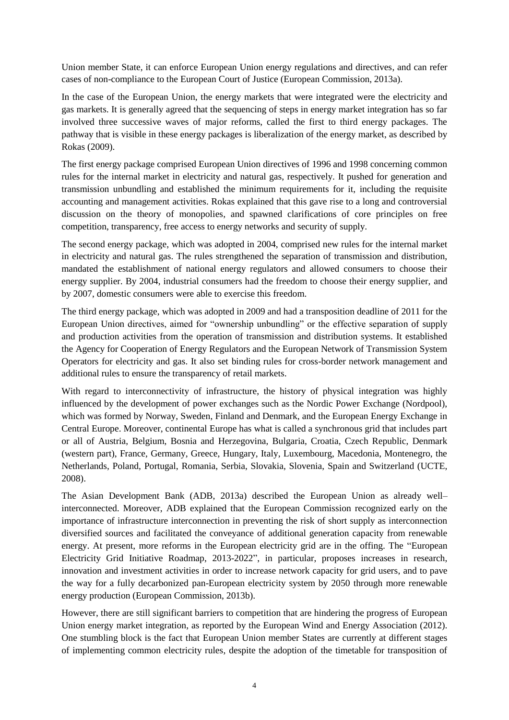Union member State, it can enforce European Union energy regulations and directives, and can refer cases of non-compliance to the European Court of Justice (European Commission, 2013a).

In the case of the European Union, the energy markets that were integrated were the electricity and gas markets. It is generally agreed that the sequencing of steps in energy market integration has so far involved three successive waves of major reforms, called the first to third energy packages. The pathway that is visible in these energy packages is liberalization of the energy market, as described by Rokas (2009).

The first energy package comprised European Union directives of 1996 and 1998 concerning common rules for the internal market in electricity and natural gas, respectively. It pushed for generation and transmission unbundling and established the minimum requirements for it, including the requisite accounting and management activities. Rokas explained that this gave rise to a long and controversial discussion on the theory of monopolies, and spawned clarifications of core principles on free competition, transparency, free access to energy networks and security of supply.

The second energy package, which was adopted in 2004, comprised new rules for the internal market in electricity and natural gas. The rules strengthened the separation of transmission and distribution, mandated the establishment of national energy regulators and allowed consumers to choose their energy supplier. By 2004, industrial consumers had the freedom to choose their energy supplier, and by 2007, domestic consumers were able to exercise this freedom.

The third energy package, which was adopted in 2009 and had a transposition deadline of 2011 for the European Union directives, aimed for "ownership unbundling" or the effective separation of supply and production activities from the operation of transmission and distribution systems. It established the Agency for Cooperation of Energy Regulators and the European Network of Transmission System Operators for electricity and gas. It also set binding rules for cross-border network management and additional rules to ensure the transparency of retail markets.

With regard to interconnectivity of infrastructure, the history of physical integration was highly influenced by the development of power exchanges such as the Nordic Power Exchange (Nordpool), which was formed by Norway, Sweden, Finland and Denmark, and the European Energy Exchange in Central Europe. Moreover, continental Europe has what is called a synchronous grid that includes part or all of Austria, Belgium, Bosnia and Herzegovina, Bulgaria, Croatia, Czech Republic, Denmark (western part), France, Germany, Greece, Hungary, Italy, Luxembourg, Macedonia, Montenegro, the Netherlands, Poland, Portugal, Romania, Serbia, Slovakia, Slovenia, Spain and Switzerland (UCTE, 2008).

The Asian Development Bank (ADB, 2013a) described the European Union as already well– interconnected. Moreover, ADB explained that the European Commission recognized early on the importance of infrastructure interconnection in preventing the risk of short supply as interconnection diversified sources and facilitated the conveyance of additional generation capacity from renewable energy. At present, more reforms in the European electricity grid are in the offing. The "European Electricity Grid Initiative Roadmap, 2013-2022", in particular, proposes increases in research, innovation and investment activities in order to increase network capacity for grid users, and to pave the way for a fully decarbonized pan-European electricity system by 2050 through more renewable energy production (European Commission, 2013b).

However, there are still significant barriers to competition that are hindering the progress of European Union energy market integration, as reported by the European Wind and Energy Association (2012). One stumbling block is the fact that European Union member States are currently at different stages of implementing common electricity rules, despite the adoption of the timetable for transposition of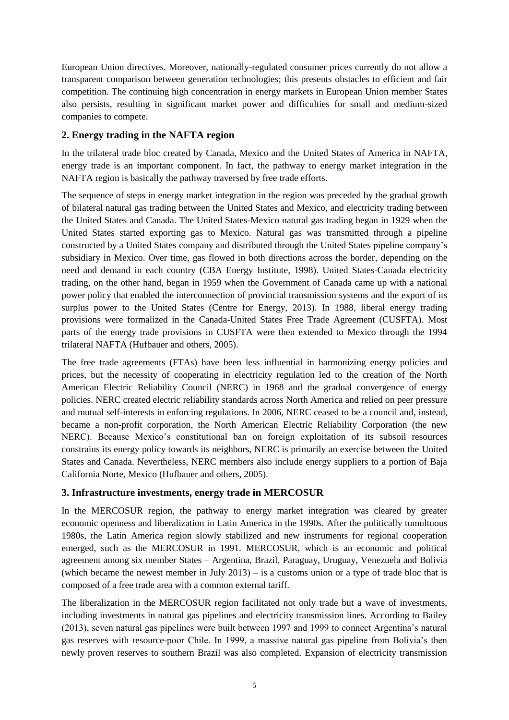European Union directives. Moreover, nationally-regulated consumer prices currently do not allow a transparent comparison between generation technologies; this presents obstacles to efficient and fair competition. The continuing high concentration in energy markets in European Union member States also persists, resulting in significant market power and difficulties for small and medium-sized companies to compete.

### **2. Energy trading in the NAFTA region**

In the trilateral trade bloc created by Canada, Mexico and the United States of America in NAFTA, energy trade is an important component. In fact, the pathway to energy market integration in the NAFTA region is basically the pathway traversed by free trade efforts.

The sequence of steps in energy market integration in the region was preceded by the gradual growth of bilateral natural gas trading between the United States and Mexico, and electricity trading between the United States and Canada. The United States-Mexico natural gas trading began in 1929 when the United States started exporting gas to Mexico. Natural gas was transmitted through a pipeline constructed by a United States company and distributed through the United States pipeline company's subsidiary in Mexico. Over time, gas flowed in both directions across the border, depending on the need and demand in each country (CBA Energy Institute, 1998). United States-Canada electricity trading, on the other hand, began in 1959 when the Government of Canada came up with a national power policy that enabled the interconnection of provincial transmission systems and the export of its surplus power to the United States (Centre for Energy, 2013). In 1988, liberal energy trading provisions were formalized in the Canada-United States Free Trade Agreement (CUSFTA). Most parts of the energy trade provisions in CUSFTA were then extended to Mexico through the 1994 trilateral NAFTA (Hufbauer and others, 2005).

The free trade agreements (FTAs) have been less influential in harmonizing energy policies and prices, but the necessity of cooperating in electricity regulation led to the creation of the North American Electric Reliability Council (NERC) in 1968 and the gradual convergence of energy policies. NERC created electric reliability standards across North America and relied on peer pressure and mutual self-interests in enforcing regulations. In 2006, NERC ceased to be a council and, instead, became a non-profit corporation, the North American Electric Reliability Corporation (the new NERC). Because Mexico's constitutional ban on foreign exploitation of its subsoil resources constrains its energy policy towards its neighbors, NERC is primarily an exercise between the United States and Canada. Nevertheless, NERC members also include energy suppliers to a portion of Baja California Norte, Mexico (Hufbauer and others, 2005).

### **3. Infrastructure investments, energy trade in MERCOSUR**

In the MERCOSUR region, the pathway to energy market integration was cleared by greater economic openness and liberalization in Latin America in the 1990s. After the politically tumultuous 1980s, the Latin America region slowly stabilized and new instruments for regional cooperation emerged, such as the MERCOSUR in 1991. MERCOSUR, which is an economic and political agreement among six member States – Argentina, Brazil, Paraguay, Uruguay, Venezuela and Bolivia (which became the newest member in July  $2013$ ) – is a customs union or a type of trade bloc that is composed of a free trade area with a common external tariff.

The liberalization in the MERCOSUR region facilitated not only trade but a wave of investments, including investments in natural gas pipelines and electricity transmission lines. According to Bailey (2013), seven natural gas pipelines were built between 1997 and 1999 to connect Argentina's natural gas reserves with resource-poor Chile. In 1999, a massive natural gas pipeline from Bolivia's then newly proven reserves to southern Brazil was also completed. Expansion of electricity transmission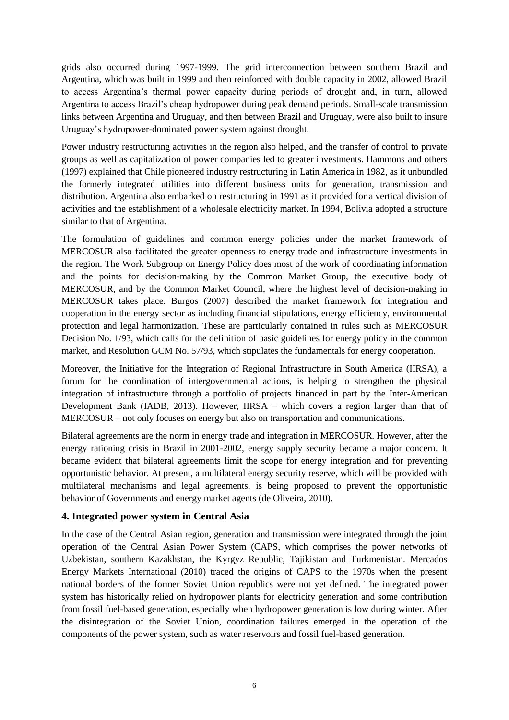grids also occurred during 1997-1999. The grid interconnection between southern Brazil and Argentina, which was built in 1999 and then reinforced with double capacity in 2002, allowed Brazil to access Argentina's thermal power capacity during periods of drought and, in turn, allowed Argentina to access Brazil's cheap hydropower during peak demand periods. Small-scale transmission links between Argentina and Uruguay, and then between Brazil and Uruguay, were also built to insure Uruguay's hydropower-dominated power system against drought.

Power industry restructuring activities in the region also helped, and the transfer of control to private groups as well as capitalization of power companies led to greater investments. Hammons and others (1997) explained that Chile pioneered industry restructuring in Latin America in 1982, as it unbundled the formerly integrated utilities into different business units for generation, transmission and distribution. Argentina also embarked on restructuring in 1991 as it provided for a vertical division of activities and the establishment of a wholesale electricity market. In 1994, Bolivia adopted a structure similar to that of Argentina.

The formulation of guidelines and common energy policies under the market framework of MERCOSUR also facilitated the greater openness to energy trade and infrastructure investments in the region. The Work Subgroup on Energy Policy does most of the work of coordinating information and the points for decision-making by the Common Market Group, the executive body of MERCOSUR, and by the Common Market Council, where the highest level of decision-making in MERCOSUR takes place. Burgos (2007) described the market framework for integration and cooperation in the energy sector as including financial stipulations, energy efficiency, environmental protection and legal harmonization. These are particularly contained in rules such as MERCOSUR Decision No. 1/93, which calls for the definition of basic guidelines for energy policy in the common market, and Resolution GCM No. 57/93, which stipulates the fundamentals for energy cooperation.

Moreover, the Initiative for the Integration of Regional Infrastructure in South America (IIRSA), a forum for the coordination of intergovernmental actions, is helping to strengthen the physical integration of infrastructure through a portfolio of projects financed in part by the Inter-American Development Bank (IADB, 2013). However, IIRSA – which covers a region larger than that of MERCOSUR – not only focuses on energy but also on transportation and communications.

Bilateral agreements are the norm in energy trade and integration in MERCOSUR. However, after the energy rationing crisis in Brazil in 2001-2002, energy supply security became a major concern. It became evident that bilateral agreements limit the scope for energy integration and for preventing opportunistic behavior. At present, a multilateral energy security reserve, which will be provided with multilateral mechanisms and legal agreements, is being proposed to prevent the opportunistic behavior of Governments and energy market agents (de Oliveira, 2010).

#### **4. Integrated power system in Central Asia**

In the case of the Central Asian region, generation and transmission were integrated through the joint operation of the Central Asian Power System (CAPS, which comprises the power networks of Uzbekistan, southern Kazakhstan, the Kyrgyz Republic, Tajikistan and Turkmenistan. Mercados Energy Markets International (2010) traced the origins of CAPS to the 1970s when the present national borders of the former Soviet Union republics were not yet defined. The integrated power system has historically relied on hydropower plants for electricity generation and some contribution from fossil fuel-based generation, especially when hydropower generation is low during winter. After the disintegration of the Soviet Union, coordination failures emerged in the operation of the components of the power system, such as water reservoirs and fossil fuel-based generation.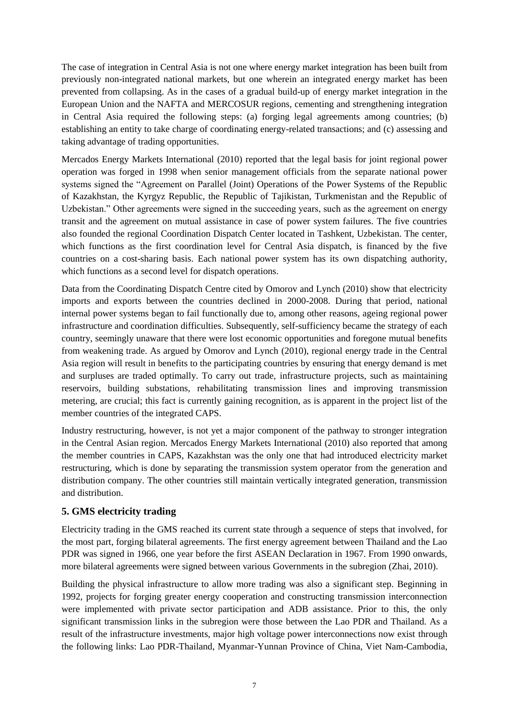The case of integration in Central Asia is not one where energy market integration has been built from previously non-integrated national markets, but one wherein an integrated energy market has been prevented from collapsing. As in the cases of a gradual build-up of energy market integration in the European Union and the NAFTA and MERCOSUR regions, cementing and strengthening integration in Central Asia required the following steps: (a) forging legal agreements among countries; (b) establishing an entity to take charge of coordinating energy-related transactions; and (c) assessing and taking advantage of trading opportunities.

Mercados Energy Markets International (2010) reported that the legal basis for joint regional power operation was forged in 1998 when senior management officials from the separate national power systems signed the "Agreement on Parallel (Joint) Operations of the Power Systems of the Republic of Kazakhstan, the Kyrgyz Republic, the Republic of Tajikistan, Turkmenistan and the Republic of Uzbekistan." Other agreements were signed in the succeeding years, such as the agreement on energy transit and the agreement on mutual assistance in case of power system failures. The five countries also founded the regional Coordination Dispatch Center located in Tashkent, Uzbekistan. The center, which functions as the first coordination level for Central Asia dispatch, is financed by the five countries on a cost-sharing basis. Each national power system has its own dispatching authority, which functions as a second level for dispatch operations.

Data from the Coordinating Dispatch Centre cited by Omorov and Lynch (2010) show that electricity imports and exports between the countries declined in 2000-2008. During that period, national internal power systems began to fail functionally due to, among other reasons, ageing regional power infrastructure and coordination difficulties. Subsequently, self-sufficiency became the strategy of each country, seemingly unaware that there were lost economic opportunities and foregone mutual benefits from weakening trade. As argued by Omorov and Lynch (2010), regional energy trade in the Central Asia region will result in benefits to the participating countries by ensuring that energy demand is met and surpluses are traded optimally. To carry out trade, infrastructure projects, such as maintaining reservoirs, building substations, rehabilitating transmission lines and improving transmission metering, are crucial; this fact is currently gaining recognition, as is apparent in the project list of the member countries of the integrated CAPS.

Industry restructuring, however, is not yet a major component of the pathway to stronger integration in the Central Asian region. Mercados Energy Markets International (2010) also reported that among the member countries in CAPS, Kazakhstan was the only one that had introduced electricity market restructuring, which is done by separating the transmission system operator from the generation and distribution company. The other countries still maintain vertically integrated generation, transmission and distribution.

#### **5. GMS electricity trading**

Electricity trading in the GMS reached its current state through a sequence of steps that involved, for the most part, forging bilateral agreements. The first energy agreement between Thailand and the Lao PDR was signed in 1966, one year before the first ASEAN Declaration in 1967. From 1990 onwards, more bilateral agreements were signed between various Governments in the subregion (Zhai, 2010).

Building the physical infrastructure to allow more trading was also a significant step. Beginning in 1992, projects for forging greater energy cooperation and constructing transmission interconnection were implemented with private sector participation and ADB assistance. Prior to this, the only significant transmission links in the subregion were those between the Lao PDR and Thailand. As a result of the infrastructure investments, major high voltage power interconnections now exist through the following links: Lao PDR-Thailand, Myanmar-Yunnan Province of China, Viet Nam-Cambodia,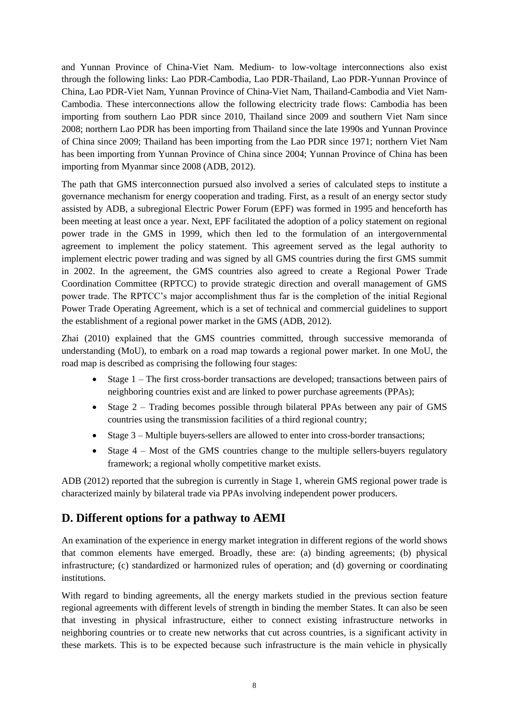and Yunnan Province of China-Viet Nam. Medium- to low-voltage interconnections also exist through the following links: Lao PDR-Cambodia, Lao PDR-Thailand, Lao PDR-Yunnan Province of China, Lao PDR-Viet Nam, Yunnan Province of China-Viet Nam, Thailand-Cambodia and Viet Nam-Cambodia. These interconnections allow the following electricity trade flows: Cambodia has been importing from southern Lao PDR since 2010, Thailand since 2009 and southern Viet Nam since 2008; northern Lao PDR has been importing from Thailand since the late 1990s and Yunnan Province of China since 2009; Thailand has been importing from the Lao PDR since 1971; northern Viet Nam has been importing from Yunnan Province of China since 2004; Yunnan Province of China has been importing from Myanmar since 2008 (ADB, 2012).

The path that GMS interconnection pursued also involved a series of calculated steps to institute a governance mechanism for energy cooperation and trading. First, as a result of an energy sector study assisted by ADB, a subregional Electric Power Forum (EPF) was formed in 1995 and henceforth has been meeting at least once a year. Next, EPF facilitated the adoption of a policy statement on regional power trade in the GMS in 1999, which then led to the formulation of an intergovernmental agreement to implement the policy statement. This agreement served as the legal authority to implement electric power trading and was signed by all GMS countries during the first GMS summit in 2002. In the agreement, the GMS countries also agreed to create a Regional Power Trade Coordination Committee (RPTCC) to provide strategic direction and overall management of GMS power trade. The RPTCC's major accomplishment thus far is the completion of the initial Regional Power Trade Operating Agreement, which is a set of technical and commercial guidelines to support the establishment of a regional power market in the GMS (ADB, 2012).

Zhai (2010) explained that the GMS countries committed, through successive memoranda of understanding (MoU), to embark on a road map towards a regional power market. In one MoU, the road map is described as comprising the following four stages:

- Stage 1 The first cross-border transactions are developed; transactions between pairs of neighboring countries exist and are linked to power purchase agreements (PPAs);
- Stage  $2 -$  Trading becomes possible through bilateral PPAs between any pair of GMS countries using the transmission facilities of a third regional country;
- Stage 3 Multiple buyers-sellers are allowed to enter into cross-border transactions;
- Stage 4 Most of the GMS countries change to the multiple sellers-buyers regulatory framework; a regional wholly competitive market exists.

ADB (2012) reported that the subregion is currently in Stage 1, wherein GMS regional power trade is characterized mainly by bilateral trade via PPAs involving independent power producers.

# **D. Different options for a pathway to AEMI**

An examination of the experience in energy market integration in different regions of the world shows that common elements have emerged. Broadly, these are: (a) binding agreements; (b) physical infrastructure; (c) standardized or harmonized rules of operation; and (d) governing or coordinating institutions.

With regard to binding agreements, all the energy markets studied in the previous section feature regional agreements with different levels of strength in binding the member States. It can also be seen that investing in physical infrastructure, either to connect existing infrastructure networks in neighboring countries or to create new networks that cut across countries, is a significant activity in these markets. This is to be expected because such infrastructure is the main vehicle in physically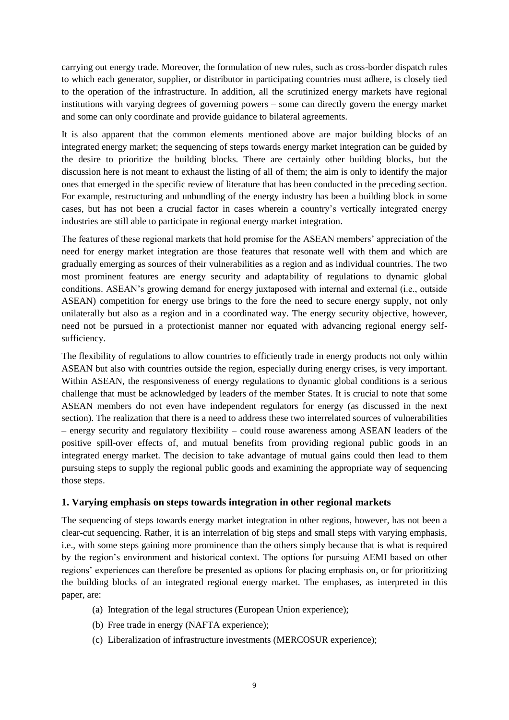carrying out energy trade. Moreover, the formulation of new rules, such as cross-border dispatch rules to which each generator, supplier, or distributor in participating countries must adhere, is closely tied to the operation of the infrastructure. In addition, all the scrutinized energy markets have regional institutions with varying degrees of governing powers – some can directly govern the energy market and some can only coordinate and provide guidance to bilateral agreements.

It is also apparent that the common elements mentioned above are major building blocks of an integrated energy market; the sequencing of steps towards energy market integration can be guided by the desire to prioritize the building blocks. There are certainly other building blocks, but the discussion here is not meant to exhaust the listing of all of them; the aim is only to identify the major ones that emerged in the specific review of literature that has been conducted in the preceding section. For example, restructuring and unbundling of the energy industry has been a building block in some cases, but has not been a crucial factor in cases wherein a country's vertically integrated energy industries are still able to participate in regional energy market integration.

The features of these regional markets that hold promise for the ASEAN members' appreciation of the need for energy market integration are those features that resonate well with them and which are gradually emerging as sources of their vulnerabilities as a region and as individual countries. The two most prominent features are energy security and adaptability of regulations to dynamic global conditions. ASEAN's growing demand for energy juxtaposed with internal and external (i.e., outside ASEAN) competition for energy use brings to the fore the need to secure energy supply, not only unilaterally but also as a region and in a coordinated way. The energy security objective, however, need not be pursued in a protectionist manner nor equated with advancing regional energy selfsufficiency.

The flexibility of regulations to allow countries to efficiently trade in energy products not only within ASEAN but also with countries outside the region, especially during energy crises, is very important. Within ASEAN, the responsiveness of energy regulations to dynamic global conditions is a serious challenge that must be acknowledged by leaders of the member States. It is crucial to note that some ASEAN members do not even have independent regulators for energy (as discussed in the next section). The realization that there is a need to address these two interrelated sources of vulnerabilities – energy security and regulatory flexibility – could rouse awareness among ASEAN leaders of the positive spill-over effects of, and mutual benefits from providing regional public goods in an integrated energy market. The decision to take advantage of mutual gains could then lead to them pursuing steps to supply the regional public goods and examining the appropriate way of sequencing those steps.

#### **1. Varying emphasis on steps towards integration in other regional markets**

The sequencing of steps towards energy market integration in other regions, however, has not been a clear-cut sequencing. Rather, it is an interrelation of big steps and small steps with varying emphasis, i.e., with some steps gaining more prominence than the others simply because that is what is required by the region's environment and historical context. The options for pursuing AEMI based on other regions' experiences can therefore be presented as options for placing emphasis on, or for prioritizing the building blocks of an integrated regional energy market. The emphases, as interpreted in this paper, are:

- (a) Integration of the legal structures (European Union experience);
- (b) Free trade in energy (NAFTA experience);
- (c) Liberalization of infrastructure investments (MERCOSUR experience);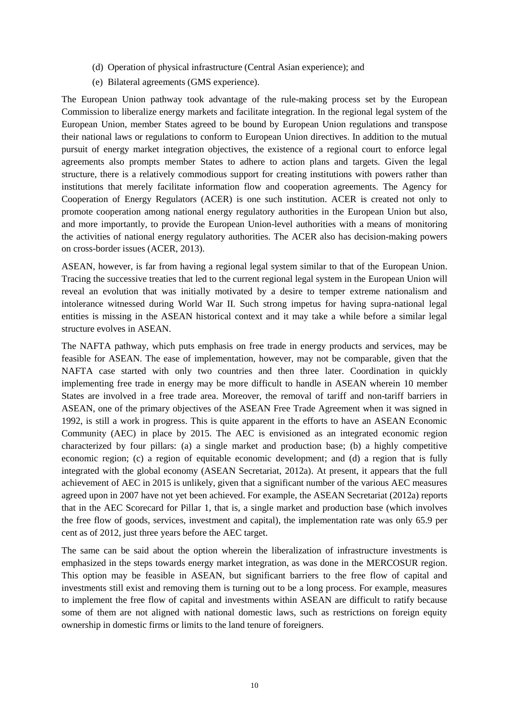- (d) Operation of physical infrastructure (Central Asian experience); and
- (e) Bilateral agreements (GMS experience).

The European Union pathway took advantage of the rule-making process set by the European Commission to liberalize energy markets and facilitate integration. In the regional legal system of the European Union, member States agreed to be bound by European Union regulations and transpose their national laws or regulations to conform to European Union directives. In addition to the mutual pursuit of energy market integration objectives, the existence of a regional court to enforce legal agreements also prompts member States to adhere to action plans and targets. Given the legal structure, there is a relatively commodious support for creating institutions with powers rather than institutions that merely facilitate information flow and cooperation agreements. The Agency for Cooperation of Energy Regulators (ACER) is one such institution. ACER is created not only to promote cooperation among national energy regulatory authorities in the European Union but also, and more importantly, to provide the European Union-level authorities with a means of monitoring the activities of national energy regulatory authorities. The ACER also has decision-making powers on cross-border issues (ACER, 2013).

ASEAN, however, is far from having a regional legal system similar to that of the European Union. Tracing the successive treaties that led to the current regional legal system in the European Union will reveal an evolution that was initially motivated by a desire to temper extreme nationalism and intolerance witnessed during World War II. Such strong impetus for having supra-national legal entities is missing in the ASEAN historical context and it may take a while before a similar legal structure evolves in ASEAN.

The NAFTA pathway, which puts emphasis on free trade in energy products and services, may be feasible for ASEAN. The ease of implementation, however, may not be comparable, given that the NAFTA case started with only two countries and then three later. Coordination in quickly implementing free trade in energy may be more difficult to handle in ASEAN wherein 10 member States are involved in a free trade area. Moreover, the removal of tariff and non-tariff barriers in ASEAN, one of the primary objectives of the ASEAN Free Trade Agreement when it was signed in 1992, is still a work in progress. This is quite apparent in the efforts to have an ASEAN Economic Community (AEC) in place by 2015. The AEC is envisioned as an integrated economic region characterized by four pillars: (a) a single market and production base; (b) a highly competitive economic region; (c) a region of equitable economic development; and (d) a region that is fully integrated with the global economy (ASEAN Secretariat, 2012a). At present, it appears that the full achievement of AEC in 2015 is unlikely, given that a significant number of the various AEC measures agreed upon in 2007 have not yet been achieved. For example, the ASEAN Secretariat (2012a) reports that in the AEC Scorecard for Pillar 1, that is, a single market and production base (which involves the free flow of goods, services, investment and capital), the implementation rate was only 65.9 per cent as of 2012, just three years before the AEC target.

The same can be said about the option wherein the liberalization of infrastructure investments is emphasized in the steps towards energy market integration, as was done in the MERCOSUR region. This option may be feasible in ASEAN, but significant barriers to the free flow of capital and investments still exist and removing them is turning out to be a long process. For example, measures to implement the free flow of capital and investments within ASEAN are difficult to ratify because some of them are not aligned with national domestic laws, such as restrictions on foreign equity ownership in domestic firms or limits to the land tenure of foreigners.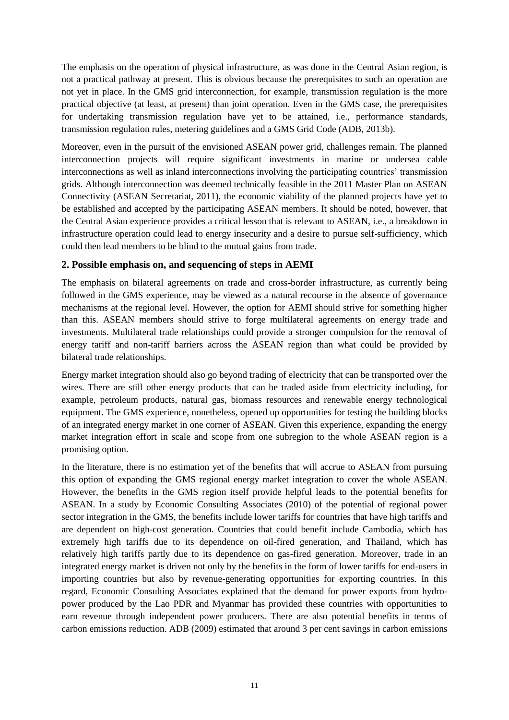The emphasis on the operation of physical infrastructure, as was done in the Central Asian region, is not a practical pathway at present. This is obvious because the prerequisites to such an operation are not yet in place. In the GMS grid interconnection, for example, transmission regulation is the more practical objective (at least, at present) than joint operation. Even in the GMS case, the prerequisites for undertaking transmission regulation have yet to be attained, i.e., performance standards, transmission regulation rules, metering guidelines and a GMS Grid Code (ADB, 2013b).

Moreover, even in the pursuit of the envisioned ASEAN power grid, challenges remain. The planned interconnection projects will require significant investments in marine or undersea cable interconnections as well as inland interconnections involving the participating countries' transmission grids. Although interconnection was deemed technically feasible in the 2011 Master Plan on ASEAN Connectivity (ASEAN Secretariat, 2011), the economic viability of the planned projects have yet to be established and accepted by the participating ASEAN members. It should be noted, however, that the Central Asian experience provides a critical lesson that is relevant to ASEAN, i.e., a breakdown in infrastructure operation could lead to energy insecurity and a desire to pursue self-sufficiency, which could then lead members to be blind to the mutual gains from trade.

#### **2. Possible emphasis on, and sequencing of steps in AEMI**

The emphasis on bilateral agreements on trade and cross-border infrastructure, as currently being followed in the GMS experience, may be viewed as a natural recourse in the absence of governance mechanisms at the regional level. However, the option for AEMI should strive for something higher than this. ASEAN members should strive to forge multilateral agreements on energy trade and investments. Multilateral trade relationships could provide a stronger compulsion for the removal of energy tariff and non-tariff barriers across the ASEAN region than what could be provided by bilateral trade relationships.

Energy market integration should also go beyond trading of electricity that can be transported over the wires. There are still other energy products that can be traded aside from electricity including, for example, petroleum products, natural gas, biomass resources and renewable energy technological equipment. The GMS experience, nonetheless, opened up opportunities for testing the building blocks of an integrated energy market in one corner of ASEAN. Given this experience, expanding the energy market integration effort in scale and scope from one subregion to the whole ASEAN region is a promising option.

In the literature, there is no estimation yet of the benefits that will accrue to ASEAN from pursuing this option of expanding the GMS regional energy market integration to cover the whole ASEAN. However, the benefits in the GMS region itself provide helpful leads to the potential benefits for ASEAN. In a study by Economic Consulting Associates (2010) of the potential of regional power sector integration in the GMS, the benefits include lower tariffs for countries that have high tariffs and are dependent on high-cost generation. Countries that could benefit include Cambodia, which has extremely high tariffs due to its dependence on oil-fired generation, and Thailand, which has relatively high tariffs partly due to its dependence on gas-fired generation. Moreover, trade in an integrated energy market is driven not only by the benefits in the form of lower tariffs for end-users in importing countries but also by revenue-generating opportunities for exporting countries. In this regard, Economic Consulting Associates explained that the demand for power exports from hydropower produced by the Lao PDR and Myanmar has provided these countries with opportunities to earn revenue through independent power producers. There are also potential benefits in terms of carbon emissions reduction. ADB (2009) estimated that around 3 per cent savings in carbon emissions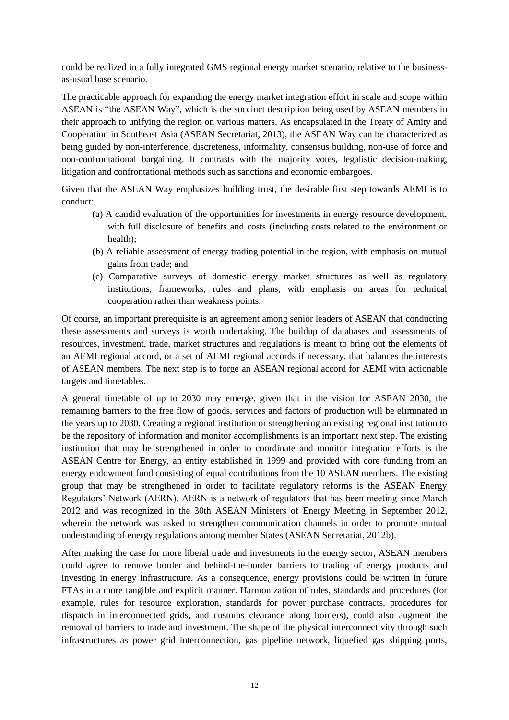could be realized in a fully integrated GMS regional energy market scenario, relative to the businessas-usual base scenario.

The practicable approach for expanding the energy market integration effort in scale and scope within ASEAN is "the ASEAN Way", which is the succinct description being used by ASEAN members in their approach to unifying the region on various matters. As encapsulated in the Treaty of Amity and Cooperation in Southeast Asia (ASEAN Secretariat, 2013), the ASEAN Way can be characterized as being guided by non-interference, discreteness, informality, consensus building, non-use of force and non-confrontational bargaining. It contrasts with the majority votes, legalistic decision-making, litigation and confrontational methods such as sanctions and economic embargoes.

Given that the ASEAN Way emphasizes building trust, the desirable first step towards AEMI is to conduct:

- (a) A candid evaluation of the opportunities for investments in energy resource development, with full disclosure of benefits and costs (including costs related to the environment or health);
- (b) A reliable assessment of energy trading potential in the region, with emphasis on mutual gains from trade; and
- (c) Comparative surveys of domestic energy market structures as well as regulatory institutions, frameworks, rules and plans, with emphasis on areas for technical cooperation rather than weakness points.

Of course, an important prerequisite is an agreement among senior leaders of ASEAN that conducting these assessments and surveys is worth undertaking. The buildup of databases and assessments of resources, investment, trade, market structures and regulations is meant to bring out the elements of an AEMI regional accord, or a set of AEMI regional accords if necessary, that balances the interests of ASEAN members. The next step is to forge an ASEAN regional accord for AEMI with actionable targets and timetables.

A general timetable of up to 2030 may emerge, given that in the vision for ASEAN 2030, the remaining barriers to the free flow of goods, services and factors of production will be eliminated in the years up to 2030. Creating a regional institution or strengthening an existing regional institution to be the repository of information and monitor accomplishments is an important next step. The existing institution that may be strengthened in order to coordinate and monitor integration efforts is the ASEAN Centre for Energy, an entity established in 1999 and provided with core funding from an energy endowment fund consisting of equal contributions from the 10 ASEAN members. The existing group that may be strengthened in order to facilitate regulatory reforms is the ASEAN Energy Regulators' Network (AERN). AERN is a network of regulators that has been meeting since March 2012 and was recognized in the 30th ASEAN Ministers of Energy Meeting in September 2012, wherein the network was asked to strengthen communication channels in order to promote mutual understanding of energy regulations among member States (ASEAN Secretariat, 2012b).

After making the case for more liberal trade and investments in the energy sector, ASEAN members could agree to remove border and behind-the-border barriers to trading of energy products and investing in energy infrastructure. As a consequence, energy provisions could be written in future FTAs in a more tangible and explicit manner. Harmonization of rules, standards and procedures (for example, rules for resource exploration, standards for power purchase contracts, procedures for dispatch in interconnected grids, and customs clearance along borders), could also augment the removal of barriers to trade and investment. The shape of the physical interconnectivity through such infrastructures as power grid interconnection, gas pipeline network, liquefied gas shipping ports,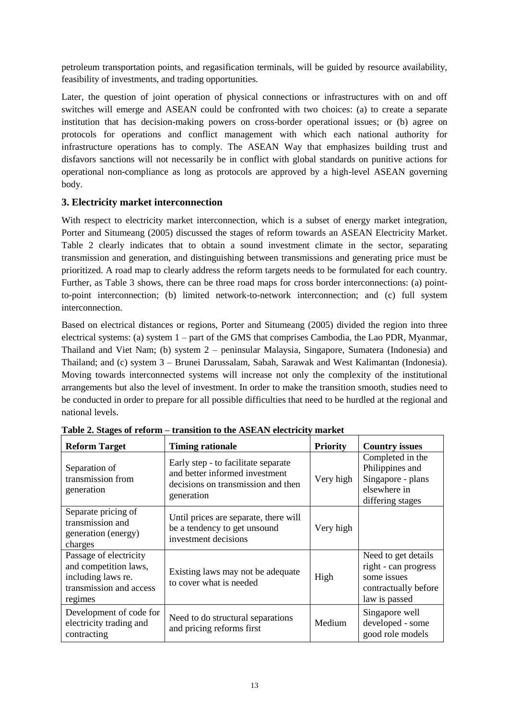petroleum transportation points, and regasification terminals, will be guided by resource availability, feasibility of investments, and trading opportunities.

Later, the question of joint operation of physical connections or infrastructures with on and off switches will emerge and ASEAN could be confronted with two choices: (a) to create a separate institution that has decision-making powers on cross-border operational issues; or (b) agree on protocols for operations and conflict management with which each national authority for infrastructure operations has to comply. The ASEAN Way that emphasizes building trust and disfavors sanctions will not necessarily be in conflict with global standards on punitive actions for operational non-compliance as long as protocols are approved by a high-level ASEAN governing body.

### **3. Electricity market interconnection**

With respect to electricity market interconnection, which is a subset of energy market integration, Porter and Situmeang (2005) discussed the stages of reform towards an ASEAN Electricity Market. Table 2 clearly indicates that to obtain a sound investment climate in the sector, separating transmission and generation, and distinguishing between transmissions and generating price must be prioritized. A road map to clearly address the reform targets needs to be formulated for each country. Further, as Table 3 shows, there can be three road maps for cross border interconnections: (a) pointto-point interconnection; (b) limited network-to-network interconnection; and (c) full system interconnection.

Based on electrical distances or regions, Porter and Situmeang (2005) divided the region into three electrical systems: (a) system 1 – part of the GMS that comprises Cambodia, the Lao PDR, Myanmar, Thailand and Viet Nam; (b) system 2 – peninsular Malaysia, Singapore, Sumatera (Indonesia) and Thailand; and (c) system 3 – Brunei Darussalam, Sabah, Sarawak and West Kalimantan (Indonesia). Moving towards interconnected systems will increase not only the complexity of the institutional arrangements but also the level of investment. In order to make the transition smooth, studies need to be conducted in order to prepare for all possible difficulties that need to be hurdled at the regional and national levels.

| <b>Reform Target</b>                                                                                        | <b>Timing rationale</b>                                                                                                   | <b>Priority</b> | <b>Country issues</b>                                                                               |
|-------------------------------------------------------------------------------------------------------------|---------------------------------------------------------------------------------------------------------------------------|-----------------|-----------------------------------------------------------------------------------------------------|
| Separation of<br>transmission from<br>generation                                                            | Early step - to facilitate separate<br>and better informed investment<br>decisions on transmission and then<br>generation | Very high       | Completed in the<br>Philippines and<br>Singapore - plans<br>elsewhere in<br>differing stages        |
| Separate pricing of<br>transmission and<br>generation (energy)<br>charges                                   | Until prices are separate, there will<br>be a tendency to get unsound<br>investment decisions                             | Very high       |                                                                                                     |
| Passage of electricity<br>and competition laws,<br>including laws re.<br>transmission and access<br>regimes | Existing laws may not be adequate<br>to cover what is needed                                                              | High            | Need to get details<br>right - can progress<br>some issues<br>contractually before<br>law is passed |
| Development of code for<br>electricity trading and<br>contracting                                           | Need to do structural separations<br>and pricing reforms first                                                            | Medium          | Singapore well<br>developed - some<br>good role models                                              |

**Table 2. Stages of reform – transition to the ASEAN electricity market**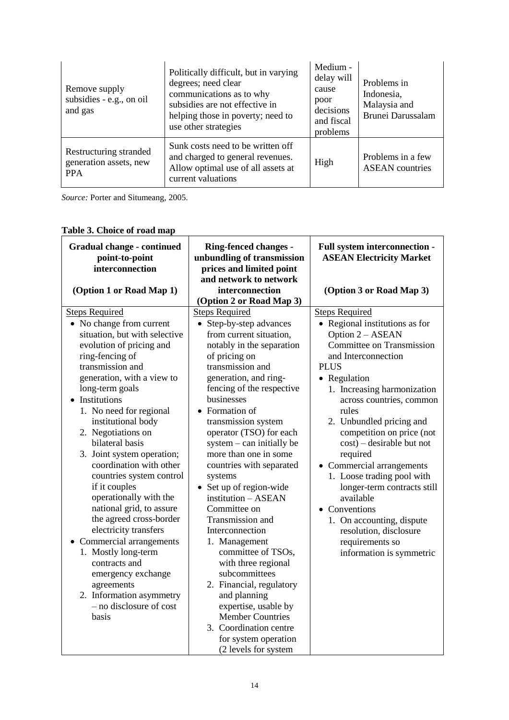| Remove supply<br>subsidies - e.g., on oil<br>and gas           | Politically difficult, but in varying<br>degrees; need clear<br>communications as to why<br>subsidies are not effective in<br>helping those in poverty; need to<br>use other strategies | Medium -<br>delay will<br>cause<br>poor<br>decisions<br>and fiscal<br>problems | Problems in<br>Indonesia,<br>Malaysia and<br>Brunei Darussalam |
|----------------------------------------------------------------|-----------------------------------------------------------------------------------------------------------------------------------------------------------------------------------------|--------------------------------------------------------------------------------|----------------------------------------------------------------|
| Restructuring stranded<br>generation assets, new<br><b>PPA</b> | Sunk costs need to be written off<br>and charged to general revenues.<br>Allow optimal use of all assets at<br>current valuations                                                       | High                                                                           | Problems in a few<br><b>ASEAN</b> countries                    |

*Source:* Porter and Situmeang, 2005.

# **Table 3. Choice of road map**

| <b>Gradual change - continued</b><br>point-to-point<br>interconnection                                                                                                                                                                                                                                                                                                                                                                                                                                                                                                                                                                                                                                                 | <b>Ring-fenced changes -</b><br>unbundling of transmission<br>prices and limited point<br>and network to network                                                                                                                                                                                                                                                                                                                                                                                                                                                                                                                                                                                                                                      | Full system interconnection -<br><b>ASEAN Electricity Market</b>                                                                                                                                                                                                                                                                                                                                                                                                                                                                                                      |
|------------------------------------------------------------------------------------------------------------------------------------------------------------------------------------------------------------------------------------------------------------------------------------------------------------------------------------------------------------------------------------------------------------------------------------------------------------------------------------------------------------------------------------------------------------------------------------------------------------------------------------------------------------------------------------------------------------------------|-------------------------------------------------------------------------------------------------------------------------------------------------------------------------------------------------------------------------------------------------------------------------------------------------------------------------------------------------------------------------------------------------------------------------------------------------------------------------------------------------------------------------------------------------------------------------------------------------------------------------------------------------------------------------------------------------------------------------------------------------------|-----------------------------------------------------------------------------------------------------------------------------------------------------------------------------------------------------------------------------------------------------------------------------------------------------------------------------------------------------------------------------------------------------------------------------------------------------------------------------------------------------------------------------------------------------------------------|
| (Option 1 or Road Map 1)                                                                                                                                                                                                                                                                                                                                                                                                                                                                                                                                                                                                                                                                                               | interconnection<br>(Option 2 or Road Map 3)                                                                                                                                                                                                                                                                                                                                                                                                                                                                                                                                                                                                                                                                                                           | (Option 3 or Road Map 3)                                                                                                                                                                                                                                                                                                                                                                                                                                                                                                                                              |
| <b>Steps Required</b><br>• No change from current<br>situation, but with selective<br>evolution of pricing and<br>ring-fencing of<br>transmission and<br>generation, with a view to<br>long-term goals<br>Institutions<br>$\bullet$<br>1. No need for regional<br>institutional body<br>2. Negotiations on<br>bilateral basis<br>3. Joint system operation;<br>coordination with other<br>countries system control<br>if it couples<br>operationally with the<br>national grid, to assure<br>the agreed cross-border<br>electricity transfers<br>• Commercial arrangements<br>1. Mostly long-term<br>contracts and<br>emergency exchange<br>agreements<br>2. Information asymmetry<br>- no disclosure of cost<br>basis | <b>Steps Required</b><br>• Step-by-step advances<br>from current situation,<br>notably in the separation<br>of pricing on<br>transmission and<br>generation, and ring-<br>fencing of the respective<br>businesses<br>• Formation of<br>transmission system<br>operator (TSO) for each<br>$system - can initially be$<br>more than one in some<br>countries with separated<br>systems<br>• Set up of region-wide<br>institution - ASEAN<br>Committee on<br>Transmission and<br>Interconnection<br>1. Management<br>committee of TSOs,<br>with three regional<br>subcommittees<br>2. Financial, regulatory<br>and planning<br>expertise, usable by<br><b>Member Countries</b><br>3. Coordination centre<br>for system operation<br>(2 levels for system | <b>Steps Required</b><br>• Regional institutions as for<br>Option 2 - ASEAN<br>Committee on Transmission<br>and Interconnection<br><b>PLUS</b><br>• Regulation<br>1. Increasing harmonization<br>across countries, common<br>rules<br>2. Unbundled pricing and<br>competition on price (not<br>$cost$ ) – desirable but not<br>required<br>• Commercial arrangements<br>1. Loose trading pool with<br>longer-term contracts still<br>available<br>• Conventions<br>1. On accounting, dispute<br>resolution, disclosure<br>requirements so<br>information is symmetric |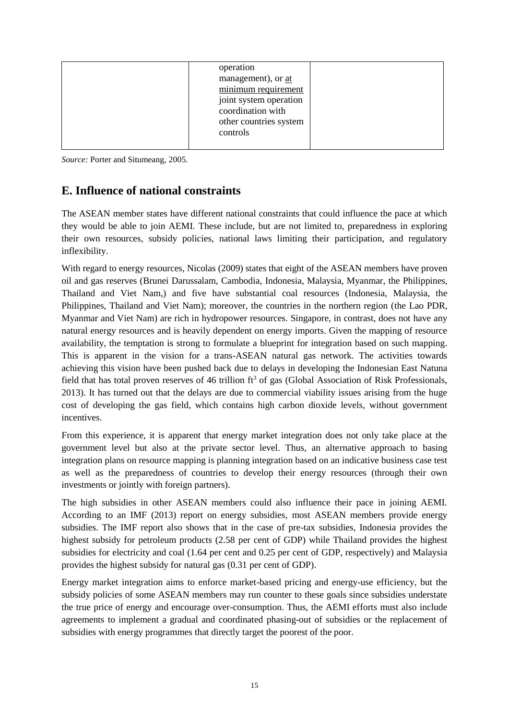|--|

*Source:* Porter and Situmeang, 2005.

# **E. Influence of national constraints**

The ASEAN member states have different national constraints that could influence the pace at which they would be able to join AEMI. These include, but are not limited to, preparedness in exploring their own resources, subsidy policies, national laws limiting their participation, and regulatory inflexibility.

With regard to energy resources, Nicolas (2009) states that eight of the ASEAN members have proven oil and gas reserves (Brunei Darussalam, Cambodia, Indonesia, Malaysia, Myanmar, the Philippines, Thailand and Viet Nam,) and five have substantial coal resources (Indonesia, Malaysia, the Philippines, Thailand and Viet Nam); moreover, the countries in the northern region (the Lao PDR, Myanmar and Viet Nam) are rich in hydropower resources. Singapore, in contrast, does not have any natural energy resources and is heavily dependent on energy imports. Given the mapping of resource availability, the temptation is strong to formulate a blueprint for integration based on such mapping. This is apparent in the vision for a trans-ASEAN natural gas network. The activities towards achieving this vision have been pushed back due to delays in developing the Indonesian East Natuna field that has total proven reserves of 46 trillion  $ft^3$  of gas (Global Association of Risk Professionals, 2013). It has turned out that the delays are due to commercial viability issues arising from the huge cost of developing the gas field, which contains high carbon dioxide levels, without government incentives.

From this experience, it is apparent that energy market integration does not only take place at the government level but also at the private sector level. Thus, an alternative approach to basing integration plans on resource mapping is planning integration based on an indicative business case test as well as the preparedness of countries to develop their energy resources (through their own investments or jointly with foreign partners).

The high subsidies in other ASEAN members could also influence their pace in joining AEMI. According to an IMF (2013) report on energy subsidies, most ASEAN members provide energy subsidies. The IMF report also shows that in the case of pre-tax subsidies, Indonesia provides the highest subsidy for petroleum products (2.58 per cent of GDP) while Thailand provides the highest subsidies for electricity and coal (1.64 per cent and 0.25 per cent of GDP, respectively) and Malaysia provides the highest subsidy for natural gas (0.31 per cent of GDP).

Energy market integration aims to enforce market-based pricing and energy-use efficiency, but the subsidy policies of some ASEAN members may run counter to these goals since subsidies understate the true price of energy and encourage over-consumption. Thus, the AEMI efforts must also include agreements to implement a gradual and coordinated phasing-out of subsidies or the replacement of subsidies with energy programmes that directly target the poorest of the poor.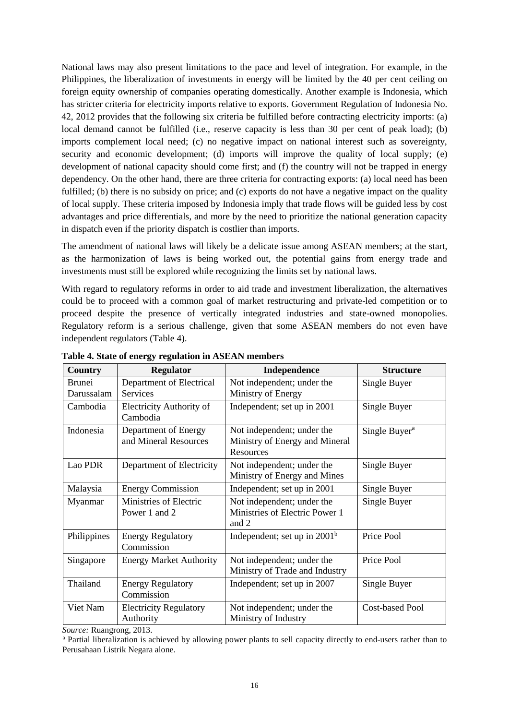National laws may also present limitations to the pace and level of integration. For example, in the Philippines, the liberalization of investments in energy will be limited by the 40 per cent ceiling on foreign equity ownership of companies operating domestically. Another example is Indonesia, which has stricter criteria for electricity imports relative to exports. Government Regulation of Indonesia No. 42, 2012 provides that the following six criteria be fulfilled before contracting electricity imports: (a) local demand cannot be fulfilled (i.e., reserve capacity is less than 30 per cent of peak load); (b) imports complement local need; (c) no negative impact on national interest such as sovereignty, security and economic development; (d) imports will improve the quality of local supply; (e) development of national capacity should come first; and (f) the country will not be trapped in energy dependency. On the other hand, there are three criteria for contracting exports: (a) local need has been fulfilled; (b) there is no subsidy on price; and (c) exports do not have a negative impact on the quality of local supply. These criteria imposed by Indonesia imply that trade flows will be guided less by cost advantages and price differentials, and more by the need to prioritize the national generation capacity in dispatch even if the priority dispatch is costlier than imports.

The amendment of national laws will likely be a delicate issue among ASEAN members; at the start, as the harmonization of laws is being worked out, the potential gains from energy trade and investments must still be explored while recognizing the limits set by national laws.

With regard to regulatory reforms in order to aid trade and investment liberalization, the alternatives could be to proceed with a common goal of market restructuring and private-led competition or to proceed despite the presence of vertically integrated industries and state-owned monopolies. Regulatory reform is a serious challenge, given that some ASEAN members do not even have independent regulators (Table 4).

| Country                     | <b>Regulator</b>                              | Independence                                                              | <b>Structure</b>          |
|-----------------------------|-----------------------------------------------|---------------------------------------------------------------------------|---------------------------|
| <b>Brunei</b><br>Darussalam | Department of Electrical<br>Services          | Not independent; under the<br>Ministry of Energy                          | Single Buyer              |
| Cambodia                    | <b>Electricity Authority of</b><br>Cambodia   | Independent; set up in 2001                                               | Single Buyer              |
| Indonesia                   | Department of Energy<br>and Mineral Resources | Not independent; under the<br>Ministry of Energy and Mineral<br>Resources | Single Buyer <sup>a</sup> |
| Lao PDR                     | Department of Electricity                     | Not independent; under the<br>Ministry of Energy and Mines                | Single Buyer              |
| Malaysia                    | <b>Energy Commission</b>                      | Independent; set up in 2001                                               | Single Buyer              |
| Myanmar                     | Ministries of Electric<br>Power 1 and 2       | Not independent; under the<br>Ministries of Electric Power 1<br>and 2     | Single Buyer              |
| Philippines                 | <b>Energy Regulatory</b><br>Commission        | Independent; set up in $2001b$                                            | Price Pool                |
| Singapore                   | <b>Energy Market Authority</b>                | Not independent; under the<br>Ministry of Trade and Industry              | Price Pool                |
| Thailand                    | <b>Energy Regulatory</b><br>Commission        | Independent; set up in 2007                                               | Single Buyer              |
| Viet Nam                    | <b>Electricity Regulatory</b><br>Authority    | Not independent; under the<br>Ministry of Industry                        | <b>Cost-based Pool</b>    |

**Table 4. State of energy regulation in ASEAN members**

*Source:* Ruangrong, 2013.

<sup>a</sup> Partial liberalization is achieved by allowing power plants to sell capacity directly to end-users rather than to Perusahaan Listrik Negara alone.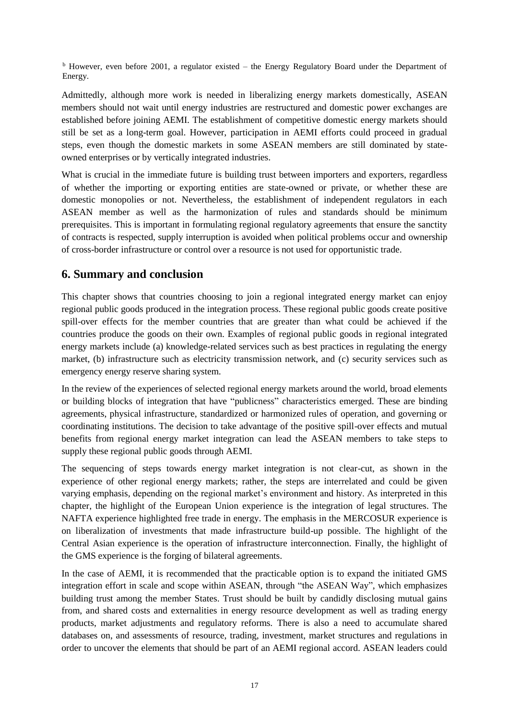<sup>b</sup> However, even before 2001, a regulator existed – the Energy Regulatory Board under the Department of Energy.

Admittedly, although more work is needed in liberalizing energy markets domestically, ASEAN members should not wait until energy industries are restructured and domestic power exchanges are established before joining AEMI. The establishment of competitive domestic energy markets should still be set as a long-term goal. However, participation in AEMI efforts could proceed in gradual steps, even though the domestic markets in some ASEAN members are still dominated by stateowned enterprises or by vertically integrated industries.

What is crucial in the immediate future is building trust between importers and exporters, regardless of whether the importing or exporting entities are state-owned or private, or whether these are domestic monopolies or not. Nevertheless, the establishment of independent regulators in each ASEAN member as well as the harmonization of rules and standards should be minimum prerequisites. This is important in formulating regional regulatory agreements that ensure the sanctity of contracts is respected, supply interruption is avoided when political problems occur and ownership of cross-border infrastructure or control over a resource is not used for opportunistic trade.

# **6. Summary and conclusion**

This chapter shows that countries choosing to join a regional integrated energy market can enjoy regional public goods produced in the integration process. These regional public goods create positive spill-over effects for the member countries that are greater than what could be achieved if the countries produce the goods on their own. Examples of regional public goods in regional integrated energy markets include (a) knowledge-related services such as best practices in regulating the energy market, (b) infrastructure such as electricity transmission network, and (c) security services such as emergency energy reserve sharing system.

In the review of the experiences of selected regional energy markets around the world, broad elements or building blocks of integration that have "publicness" characteristics emerged. These are binding agreements, physical infrastructure, standardized or harmonized rules of operation, and governing or coordinating institutions. The decision to take advantage of the positive spill-over effects and mutual benefits from regional energy market integration can lead the ASEAN members to take steps to supply these regional public goods through AEMI.

The sequencing of steps towards energy market integration is not clear-cut, as shown in the experience of other regional energy markets; rather, the steps are interrelated and could be given varying emphasis, depending on the regional market's environment and history. As interpreted in this chapter, the highlight of the European Union experience is the integration of legal structures. The NAFTA experience highlighted free trade in energy. The emphasis in the MERCOSUR experience is on liberalization of investments that made infrastructure build-up possible. The highlight of the Central Asian experience is the operation of infrastructure interconnection. Finally, the highlight of the GMS experience is the forging of bilateral agreements.

In the case of AEMI, it is recommended that the practicable option is to expand the initiated GMS integration effort in scale and scope within ASEAN, through "the ASEAN Way", which emphasizes building trust among the member States. Trust should be built by candidly disclosing mutual gains from, and shared costs and externalities in energy resource development as well as trading energy products, market adjustments and regulatory reforms. There is also a need to accumulate shared databases on, and assessments of resource, trading, investment, market structures and regulations in order to uncover the elements that should be part of an AEMI regional accord. ASEAN leaders could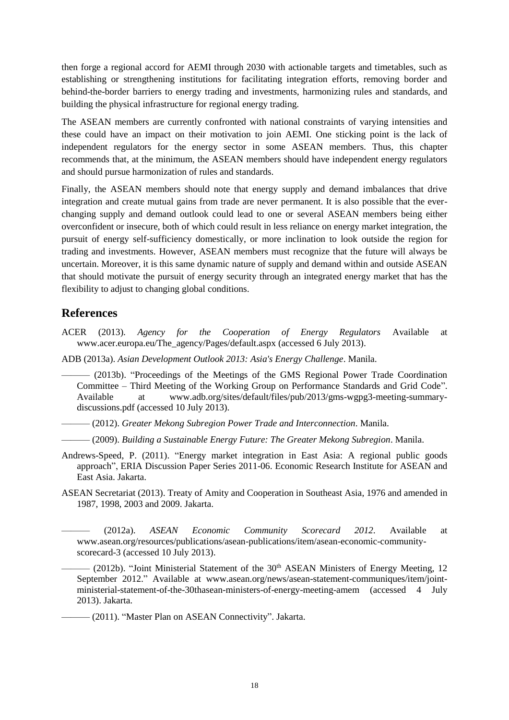then forge a regional accord for AEMI through 2030 with actionable targets and timetables, such as establishing or strengthening institutions for facilitating integration efforts, removing border and behind-the-border barriers to energy trading and investments, harmonizing rules and standards, and building the physical infrastructure for regional energy trading.

The ASEAN members are currently confronted with national constraints of varying intensities and these could have an impact on their motivation to join AEMI. One sticking point is the lack of independent regulators for the energy sector in some ASEAN members. Thus, this chapter recommends that, at the minimum, the ASEAN members should have independent energy regulators and should pursue harmonization of rules and standards.

Finally, the ASEAN members should note that energy supply and demand imbalances that drive integration and create mutual gains from trade are never permanent. It is also possible that the everchanging supply and demand outlook could lead to one or several ASEAN members being either overconfident or insecure, both of which could result in less reliance on energy market integration, the pursuit of energy self-sufficiency domestically, or more inclination to look outside the region for trading and investments. However, ASEAN members must recognize that the future will always be uncertain. Moreover, it is this same dynamic nature of supply and demand within and outside ASEAN that should motivate the pursuit of energy security through an integrated energy market that has the flexibility to adjust to changing global conditions.

# **References**

ACER (2013). *Agency for the Cooperation of Energy Regulators* Available at [www.acer.europa.eu/The\\_agency/Pages/default.aspx](http://www.acer.europa.eu/The_agency/Pages/default.aspx) (accessed 6 July 2013).

ADB (2013a). *Asian Development Outlook 2013: Asia's Energy Challenge*. Manila.

——— (2013b). "Proceedings of the Meetings of the GMS Regional Power Trade Coordination Committee – Third Meeting of the Working Group on Performance Standards and Grid Code". Available at [www.adb.org/sites/default/files/pub/2013/gms-wgpg3-meeting-summary](../../../../../../../../AppData/Local/Temp/www.adb.org/sites/default/files/pub/2013/gms-wgpg3-meeting-summary-discussions.pdf)[discussions.pdf](../../../../../../../../AppData/Local/Temp/www.adb.org/sites/default/files/pub/2013/gms-wgpg3-meeting-summary-discussions.pdf) (accessed 10 July 2013).

——— (2012). *Greater Mekong Subregion Power Trade and Interconnection*. Manila.

——— (2009). *Building a Sustainable Energy Future: The Greater Mekong Subregion*. Manila.

- Andrews-Speed, P. (2011). "Energy market integration in East Asia: A regional public goods approach", ERIA Discussion Paper Series 2011-06. Economic Research Institute for ASEAN and East Asia. Jakarta.
- ASEAN Secretariat (2013). Treaty of Amity and Cooperation in Southeast Asia, 1976 and amended in 1987, 1998, 2003 and 2009. Jakarta.
- ——— (2012a). *ASEAN Economic Community Scorecard 2012*. Available at [www.asean.org/resources/publications/asean-publications/item/asean-economic-community](../../../../../../../../AppData/Local/Temp/www.asean.org/resources/publications/asean-publications/item/asean-economic-community-scorecard-3)[scorecard-3](../../../../../../../../AppData/Local/Temp/www.asean.org/resources/publications/asean-publications/item/asean-economic-community-scorecard-3) (accessed 10 July 2013).

 $-$  (2012b). "Joint Ministerial Statement of the 30<sup>th</sup> ASEAN Ministers of Energy Meeting, 12 September 2012." Available at [www.asean.org/news/asean-statement-communiques/item/joint](../../../../../../../../AppData/Local/Temp/www.asean.org/news/asean-statement-communiques/item/joint-ministerial-statement-of-the-30thasean-ministers-of-energy-meeting-amem)[ministerial-statement-of-the-30thasean-ministers-of-energy-meeting-amem](../../../../../../../../AppData/Local/Temp/www.asean.org/news/asean-statement-communiques/item/joint-ministerial-statement-of-the-30thasean-ministers-of-energy-meeting-amem) (accessed 4 July 2013). Jakarta.

(2011). "Master Plan on ASEAN Connectivity". Jakarta.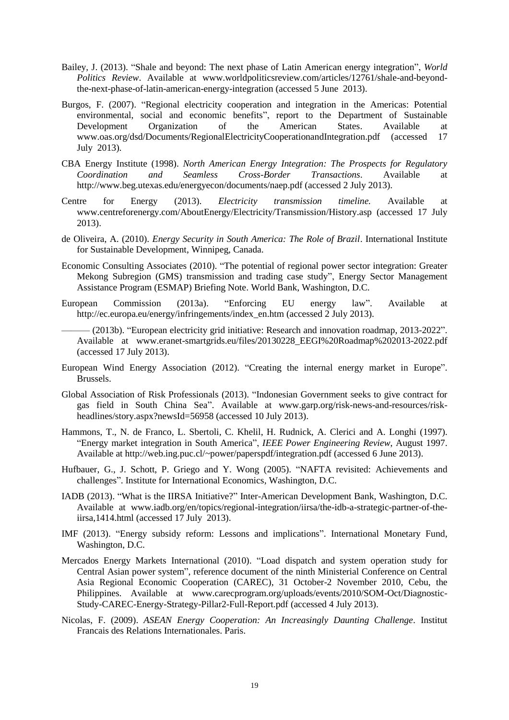- Bailey, J. (2013). "Shale and beyond: The next phase of Latin American energy integration", *World Politics Review*. Available at [www.worldpoliticsreview.com/articles/12761/shale-and-beyond](../../../../../../../../AppData/Local/Temp/www.worldpoliticsreview.com/articles/12761/shale-and-beyond-the-next-phase-of-latin-american-energy-integration)[the-next-phase-of-latin-american-energy-integration](../../../../../../../../AppData/Local/Temp/www.worldpoliticsreview.com/articles/12761/shale-and-beyond-the-next-phase-of-latin-american-energy-integration) (accessed 5 June 2013).
- Burgos, F. (2007). "Regional electricity cooperation and integration in the Americas: Potential environmental, social and economic benefits", report to the Department of Sustainable Development Organization of the American States. Available at [www.oas.org/dsd/Documents/RegionalElectricityCooperationandIntegration.pdf](../../../../../../../../AppData/Local/Temp/www.oas.org/dsd/Documents/RegionalElectricityCooperationandIntegration.pdf) (accessed 17 July 2013).
- CBA Energy Institute (1998). *North American Energy Integration: The Prospects for Regulatory Coordination and Seamless Cross-Border Transactions*. Available at http://www.beg.utexas.edu/energyecon/documents/naep.pdf (accessed 2 July 2013).
- Centre for Energy (2013). *Electricity transmission timeline.* Available at [www.centreforenergy.com/AboutEnergy/Electricity/Transmission/History.asp](../../../../../../../../AppData/Local/Temp/www.centreforenergy.com/AboutEnergy/Electricity/Transmission/History.asp) (accessed 17 July 2013).
- de Oliveira, A. (2010). *Energy Security in South America: The Role of Brazil*. International Institute for Sustainable Development, Winnipeg, Canada.
- Economic Consulting Associates (2010). "The potential of regional power sector integration: Greater Mekong Subregion (GMS) transmission and trading case study", Energy Sector Management Assistance Program (ESMAP) Briefing Note. World Bank, Washington, D.C.
- European Commission (2013a). "Enforcing EU energy law". Available at [http://ec.europa.eu/energy/infringements/index\\_en.htm](http://ec.europa.eu/energy/infringements/index_en.htm) (accessed 2 July 2013).
- (2013b). "European electricity grid initiative: Research and innovation roadmap, 2013-2022". Available at [www.eranet-smartgrids.eu/files/20130228\\_EEGI%20Roadmap%202013-2022.pdf](../../../../../../../../AppData/Local/Temp/www.eranet-smartgrids.eu/files/20130228_EEGI%20Roadmap%202013-2022.pdf) (accessed 17 July 2013).
- European Wind Energy Association (2012). "Creating the internal energy market in Europe". Brussels.
- Global Association of Risk Professionals (2013). "Indonesian Government seeks to give contract for gas field in South China Sea". Available at [www.garp.org/risk-news-and-resources/risk](../../../../../../../../AppData/Local/Temp/www.garp.org/risk-news-and-resources/risk-headlines/story.aspx%3fnewsId=56958)[headlines/story.aspx?newsId=56958](../../../../../../../../AppData/Local/Temp/www.garp.org/risk-news-and-resources/risk-headlines/story.aspx%3fnewsId=56958) (accessed 10 July 2013).
- Hammons, T., N. de Franco, L. Sbertoli, C. Khelil, H. Rudnick, A. Clerici and A. Longhi (1997). "Energy market integration in South America", *IEEE Power Engineering Review*, August 1997. Available at <http://web.ing.puc.cl/~power/paperspdf/integration.pdf> (accessed 6 June 2013).
- Hufbauer, G., J. Schott, P. Griego and Y. Wong (2005). "NAFTA revisited: Achievements and challenges". Institute for International Economics, Washington, D.C.
- IADB (2013). "What is the IIRSA Initiative?" Inter-American Development Bank, Washington, D.C. Available at [www.iadb.org/en/topics/regional-integration/iirsa/the-idb-a-strategic-partner-of-the](../../../../../../../../AppData/Local/Temp/www.iadb.org/en/topics/regional-integration/iirsa/the-idb-a-strategic-partner-of-the-iirsa,1414.html)[iirsa,1414.html](../../../../../../../../AppData/Local/Temp/www.iadb.org/en/topics/regional-integration/iirsa/the-idb-a-strategic-partner-of-the-iirsa,1414.html) (accessed 17 July 2013).
- IMF (2013). "Energy subsidy reform: Lessons and implications". International Monetary Fund, Washington, D.C.
- Mercados Energy Markets International (2010). "Load dispatch and system operation study for Central Asian power system", reference document of the ninth Ministerial Conference on Central Asia Regional Economic Cooperation (CAREC), 31 October-2 November 2010, Cebu, the Philippines. Available at [www.carecprogram.org/uploads/events/2010/SOM-Oct/Diagnostic-](http://www.carecprogram.org/uploads/events/2010/SOM-Oct/Diagnostic-Study-CAREC-Energy-Strategy-Pillar2-Full-Report.pdf)[Study-CAREC-Energy-Strategy-Pillar2-Full-Report.pdf](http://www.carecprogram.org/uploads/events/2010/SOM-Oct/Diagnostic-Study-CAREC-Energy-Strategy-Pillar2-Full-Report.pdf) (accessed 4 July 2013).
- Nicolas, F. (2009). *ASEAN Energy Cooperation: An Increasingly Daunting Challenge*. Institut Francais des Relations Internationales. Paris.